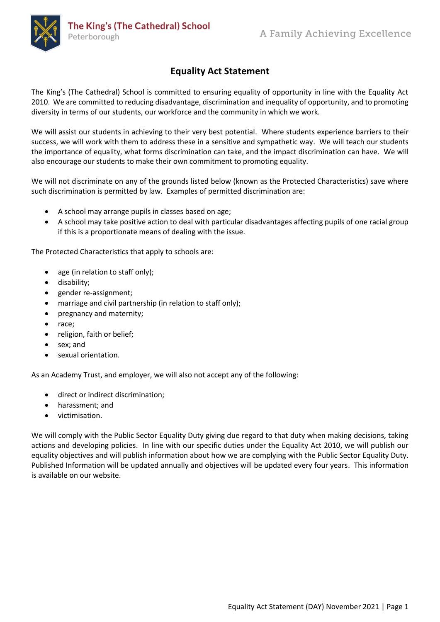

## **Equality Act Statement**

The King's (The Cathedral) School is committed to ensuring equality of opportunity in line with the Equality Act 2010. We are committed to reducing disadvantage, discrimination and inequality of opportunity, and to promoting diversity in terms of our students, our workforce and the community in which we work.

We will assist our students in achieving to their very best potential. Where students experience barriers to their success, we will work with them to address these in a sensitive and sympathetic way. We will teach our students the importance of equality, what forms discrimination can take, and the impact discrimination can have. We will also encourage our students to make their own commitment to promoting equality.

We will not discriminate on any of the grounds listed below (known as the Protected Characteristics) save where such discrimination is permitted by law. Examples of permitted discrimination are:

- A school may arrange pupils in classes based on age;
- A school may take positive action to deal with particular disadvantages affecting pupils of one racial group if this is a proportionate means of dealing with the issue.

The Protected Characteristics that apply to schools are:

- age (in relation to staff only);
- disability;
- gender re-assignment;
- marriage and civil partnership (in relation to staff only);
- pregnancy and maternity;
- race;
- religion, faith or belief;
- sex; and
- sexual orientation.

As an Academy Trust, and employer, we will also not accept any of the following:

- direct or indirect discrimination;
- harassment; and
- victimisation.

We will comply with the Public Sector Equality Duty giving due regard to that duty when making decisions, taking actions and developing policies. In line with our specific duties under the Equality Act 2010, we will publish our equality objectives and will publish information about how we are complying with the Public Sector Equality Duty. Published Information will be updated annually and objectives will be updated every four years. This information is available on our website.